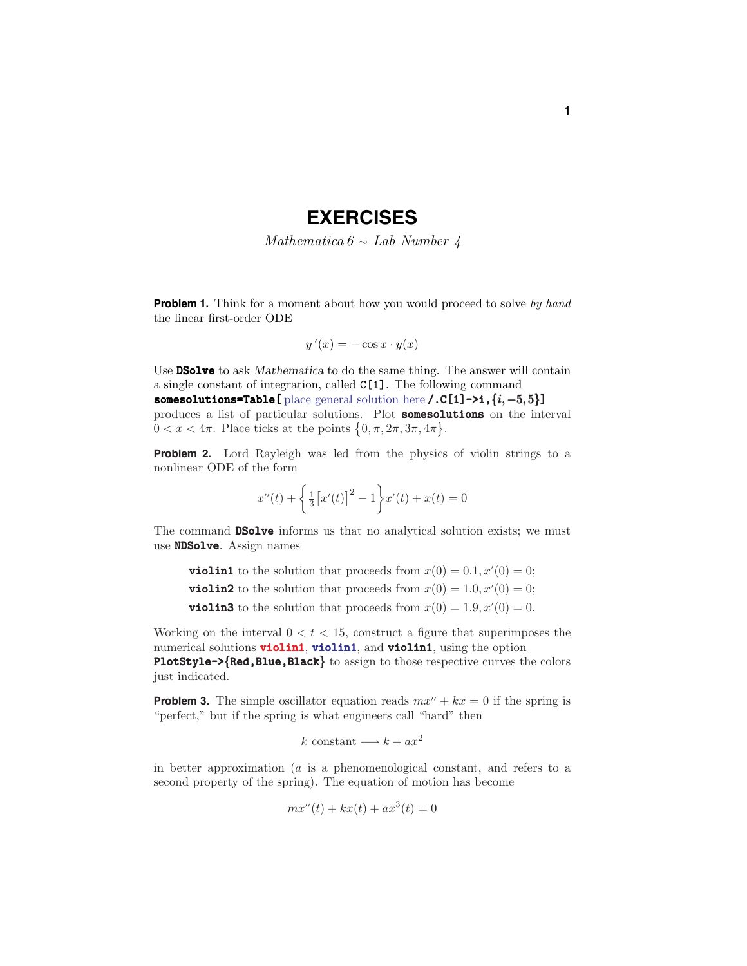## **EXERCISES**

Mathematica  $6 \sim$  Lab Number 4

**Problem 1.** Think for a moment about how you would proceed to solve by hand the linear first-order ODE

$$
y'(x) = -\cos x \cdot y(x)
$$

Use **DSolve** to ask *Mathematica* to do the same thing. The answer will contain a single constant of integration, called C[1]. The following command somesolutions=Table[ place general solution here /.C[1]->i, {*i*, −5, 5}] produces a list of particular solutions. Plot **somesolutions** on the interval  $0 < x < 4\pi$ . Place ticks at the points  $\{0, \pi, 2\pi, 3\pi, 4\pi\}.$ 

**Problem 2.** Lord Rayleigh was led from the physics of violin strings to a nonlinear ODE of the form

$$
x''(t) + \left\{ \frac{1}{3} \left[ x'(t) \right]^2 - 1 \right\} x'(t) + x(t) = 0
$$

The command **DSolve** informs us that no analytical solution exists; we must use **NDSolve**. Assign names

**violin1** to the solution that proceeds from  $x(0) = 0.1, x'(0) = 0;$ **violin2** to the solution that proceeds from  $x(0) = 1.0, x'(0) = 0;$ **violin3** to the solution that proceeds from  $x(0) = 1.9, x'(0) = 0$ .

Working on the interval  $0 < t < 15$ , construct a figure that superimposes the numerical solutions **violin1**, **violin1**, and **violin1**, using the option PlotStyle->{Red, Blue, Black} to assign to those respective curves the colors just indicated.

**Problem 3.** The simple oscillator equation reads  $mx'' + kx = 0$  if the spring is "perfect," but if the spring is what engineers call "hard" then

$$
k
$$
 constant  $\longrightarrow$   $k + ax^2$ 

in better approximation (*a* is a phenomenological constant, and refers to a second property of the spring). The equation of motion has become

$$
mx''(t) + kx(t) + ax^3(t) = 0
$$